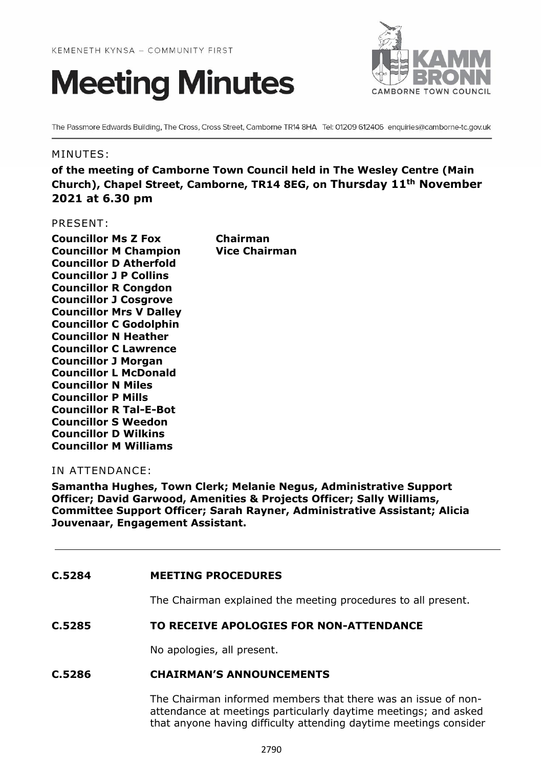



The Passmore Edwards Building, The Cross, Cross Street, Camborne TR14 8HA Tel: 01209 612406 enquiries@camborne-tc.gov.uk

## MINUTES:

**of the meeting of Camborne Town Council held in The Wesley Centre (Main Church), Chapel Street, Camborne, TR14 8EG, on Thursday 11th November 2021 at 6.30 pm**

#### PRESENT:

**Councillor Ms Z Fox Chairman Councillor M Champion Vice Chairman Councillor D Atherfold Councillor J P Collins Councillor R Congdon Councillor J Cosgrove Councillor Mrs V Dalley Councillor C Godolphin Councillor N Heather Councillor C Lawrence Councillor J Morgan Councillor L McDonald Councillor N Miles Councillor P Mills Councillor R Tal-E-Bot Councillor S Weedon Councillor D Wilkins Councillor M Williams**

# IN ATTENDANCE:

**Samantha Hughes, Town Clerk; Melanie Negus, Administrative Support Officer; David Garwood, Amenities & Projects Officer; Sally Williams, Committee Support Officer; Sarah Rayner, Administrative Assistant; Alicia Jouvenaar, Engagement Assistant.**

## **C.5284 MEETING PROCEDURES**

The Chairman explained the meeting procedures to all present.

## **C.5285 TO RECEIVE APOLOGIES FOR NON-ATTENDANCE**

No apologies, all present.

## **C.5286 CHAIRMAN'S ANNOUNCEMENTS**

The Chairman informed members that there was an issue of nonattendance at meetings particularly daytime meetings; and asked that anyone having difficulty attending daytime meetings consider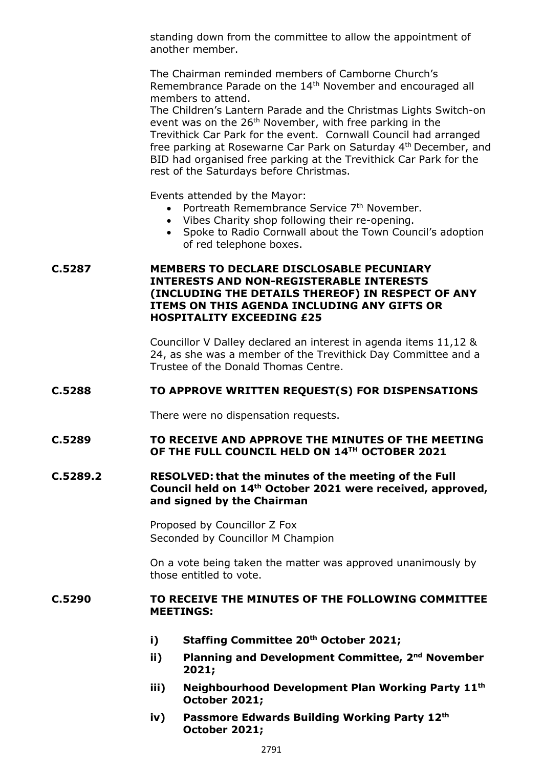standing down from the committee to allow the appointment of another member.

The Chairman reminded members of Camborne Church's Remembrance Parade on the 14<sup>th</sup> November and encouraged all members to attend.

The Children's Lantern Parade and the Christmas Lights Switch-on event was on the 26<sup>th</sup> November, with free parking in the Trevithick Car Park for the event. Cornwall Council had arranged free parking at Rosewarne Car Park on Saturday 4<sup>th</sup> December, and BID had organised free parking at the Trevithick Car Park for the rest of the Saturdays before Christmas.

Events attended by the Mayor:

- Portreath Remembrance Service 7<sup>th</sup> November.
- Vibes Charity shop following their re-opening.
- Spoke to Radio Cornwall about the Town Council's adoption of red telephone boxes.

# **C.5287 MEMBERS TO DECLARE DISCLOSABLE PECUNIARY INTERESTS AND NON-REGISTERABLE INTERESTS (INCLUDING THE DETAILS THEREOF) IN RESPECT OF ANY ITEMS ON THIS AGENDA INCLUDING ANY GIFTS OR HOSPITALITY EXCEEDING £25**

Councillor V Dalley declared an interest in agenda items 11,12 & 24, as she was a member of the Trevithick Day Committee and a Trustee of the Donald Thomas Centre.

## **C.5288 TO APPROVE WRITTEN REQUEST(S) FOR DISPENSATIONS**

There were no dispensation requests.

# **C.5289 TO RECEIVE AND APPROVE THE MINUTES OF THE MEETING OF THE FULL COUNCIL HELD ON 14TH OCTOBER 2021**

# **C.5289.2 RESOLVED: that the minutes of the meeting of the Full Council held on 14th October 2021 were received, approved, and signed by the Chairman**

Proposed by Councillor Z Fox Seconded by Councillor M Champion

On a vote being taken the matter was approved unanimously by those entitled to vote.

## **C.5290 TO RECEIVE THE MINUTES OF THE FOLLOWING COMMITTEE MEETINGS:**

- **i) Staffing Committee 20th October 2021;**
- **ii) Planning and Development Committee, 2 nd November 2021;**
- **iii) Neighbourhood Development Plan Working Party 11th October 2021;**
- **iv) Passmore Edwards Building Working Party 12th October 2021;**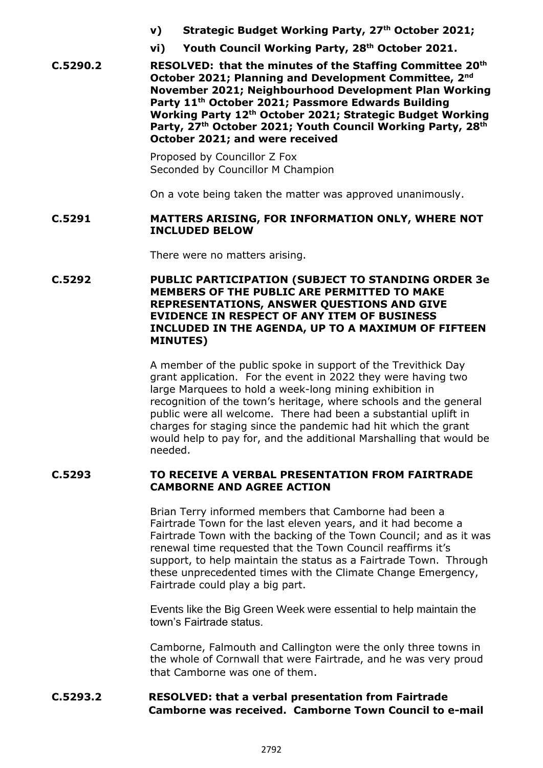- **v) Strategic Budget Working Party, 27th October 2021;**
- **vi) Youth Council Working Party, 28 th October 2021.**

**C.5290.2 RESOLVED: that the minutes of the Staffing Committee 20th October 2021; Planning and Development Committee, 2nd November 2021; Neighbourhood Development Plan Working Party 11th October 2021; Passmore Edwards Building Working Party 12th October 2021; Strategic Budget Working Party, 27th October 2021; Youth Council Working Party, 28th October 2021; and were received**

> Proposed by Councillor Z Fox Seconded by Councillor M Champion

On a vote being taken the matter was approved unanimously.

## **C.5291 MATTERS ARISING, FOR INFORMATION ONLY, WHERE NOT INCLUDED BELOW**

There were no matters arising.

# **C.5292 PUBLIC PARTICIPATION (SUBJECT TO STANDING ORDER 3e MEMBERS OF THE PUBLIC ARE PERMITTED TO MAKE REPRESENTATIONS, ANSWER QUESTIONS AND GIVE EVIDENCE IN RESPECT OF ANY ITEM OF BUSINESS INCLUDED IN THE AGENDA, UP TO A MAXIMUM OF FIFTEEN MINUTES)**

A member of the public spoke in support of the Trevithick Day grant application. For the event in 2022 they were having two large Marquees to hold a week-long mining exhibition in recognition of the town's heritage, where schools and the general public were all welcome. There had been a substantial uplift in charges for staging since the pandemic had hit which the grant would help to pay for, and the additional Marshalling that would be needed.

# **C.5293 TO RECEIVE A VERBAL PRESENTATION FROM FAIRTRADE CAMBORNE AND AGREE ACTION**

Brian Terry informed members that Camborne had been a Fairtrade Town for the last eleven years, and it had become a Fairtrade Town with the backing of the Town Council; and as it was renewal time requested that the Town Council reaffirms it's support, to help maintain the status as a Fairtrade Town. Through these unprecedented times with the Climate Change Emergency, Fairtrade could play a big part.

Events like the Big Green Week were essential to help maintain the town's Fairtrade status.

Camborne, Falmouth and Callington were the only three towns in the whole of Cornwall that were Fairtrade, and he was very proud that Camborne was one of them.

# **C.5293.2 RESOLVED: that a verbal presentation from Fairtrade Camborne was received. Camborne Town Council to e-mail**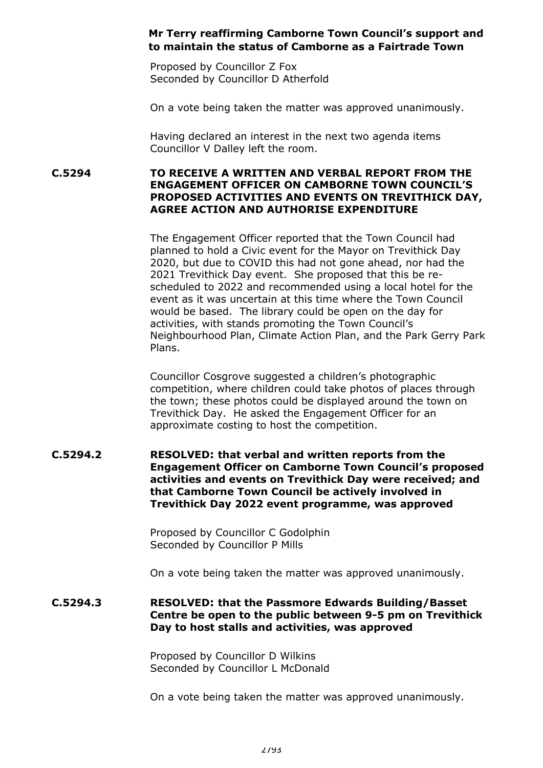# **Mr Terry reaffirming Camborne Town Council's support and to maintain the status of Camborne as a Fairtrade Town**

Proposed by Councillor Z Fox Seconded by Councillor D Atherfold

On a vote being taken the matter was approved unanimously.

Having declared an interest in the next two agenda items Councillor V Dalley left the room.

**C.5294 TO RECEIVE A WRITTEN AND VERBAL REPORT FROM THE ENGAGEMENT OFFICER ON CAMBORNE TOWN COUNCIL'S PROPOSED ACTIVITIES AND EVENTS ON TREVITHICK DAY, AGREE ACTION AND AUTHORISE EXPENDITURE**

> The Engagement Officer reported that the Town Council had planned to hold a Civic event for the Mayor on Trevithick Day 2020, but due to COVID this had not gone ahead, nor had the 2021 Trevithick Day event. She proposed that this be rescheduled to 2022 and recommended using a local hotel for the event as it was uncertain at this time where the Town Council would be based. The library could be open on the day for activities, with stands promoting the Town Council's Neighbourhood Plan, Climate Action Plan, and the Park Gerry Park Plans.

Councillor Cosgrove suggested a children's photographic competition, where children could take photos of places through the town; these photos could be displayed around the town on Trevithick Day. He asked the Engagement Officer for an approximate costing to host the competition.

## **C.5294.2 RESOLVED: that verbal and written reports from the Engagement Officer on Camborne Town Council's proposed activities and events on Trevithick Day were received; and that Camborne Town Council be actively involved in Trevithick Day 2022 event programme, was approved**

Proposed by Councillor C Godolphin Seconded by Councillor P Mills

On a vote being taken the matter was approved unanimously.

# **C.5294.3 RESOLVED: that the Passmore Edwards Building/Basset Centre be open to the public between 9-5 pm on Trevithick Day to host stalls and activities, was approved**

Proposed by Councillor D Wilkins Seconded by Councillor L McDonald

On a vote being taken the matter was approved unanimously.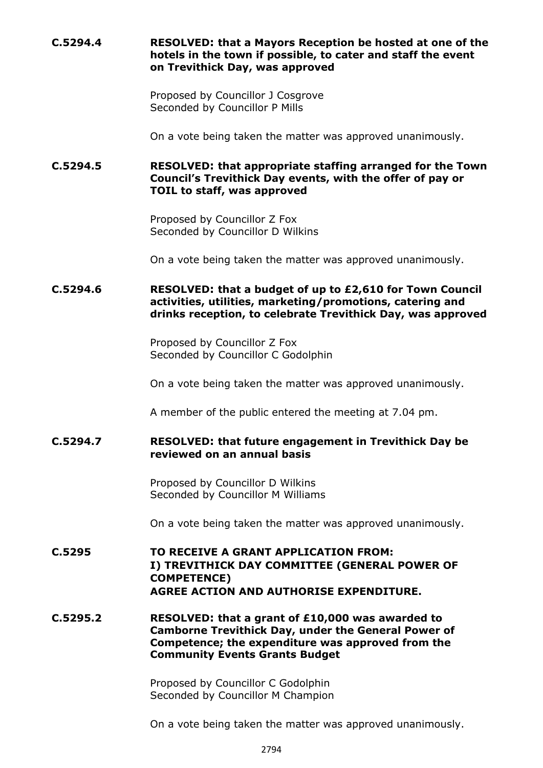# **C.5294.4 RESOLVED: that a Mayors Reception be hosted at one of the hotels in the town if possible, to cater and staff the event on Trevithick Day, was approved**

Proposed by Councillor J Cosgrove Seconded by Councillor P Mills

On a vote being taken the matter was approved unanimously.

# **C.5294.5 RESOLVED: that appropriate staffing arranged for the Town Council's Trevithick Day events, with the offer of pay or TOIL to staff, was approved**

Proposed by Councillor Z Fox Seconded by Councillor D Wilkins

On a vote being taken the matter was approved unanimously.

**C.5294.6 RESOLVED: that a budget of up to £2,610 for Town Council activities, utilities, marketing/promotions, catering and drinks reception, to celebrate Trevithick Day, was approved**

> Proposed by Councillor Z Fox Seconded by Councillor C Godolphin

On a vote being taken the matter was approved unanimously.

A member of the public entered the meeting at 7.04 pm.

# **C.5294.7 RESOLVED: that future engagement in Trevithick Day be reviewed on an annual basis**

Proposed by Councillor D Wilkins Seconded by Councillor M Williams

On a vote being taken the matter was approved unanimously.

**C.5295 TO RECEIVE A GRANT APPLICATION FROM: I) TREVITHICK DAY COMMITTEE (GENERAL POWER OF COMPETENCE) AGREE ACTION AND AUTHORISE EXPENDITURE.**

**C.5295.2 RESOLVED: that a grant of £10,000 was awarded to Camborne Trevithick Day, under the General Power of Competence; the expenditure was approved from the Community Events Grants Budget**

> Proposed by Councillor C Godolphin Seconded by Councillor M Champion

On a vote being taken the matter was approved unanimously.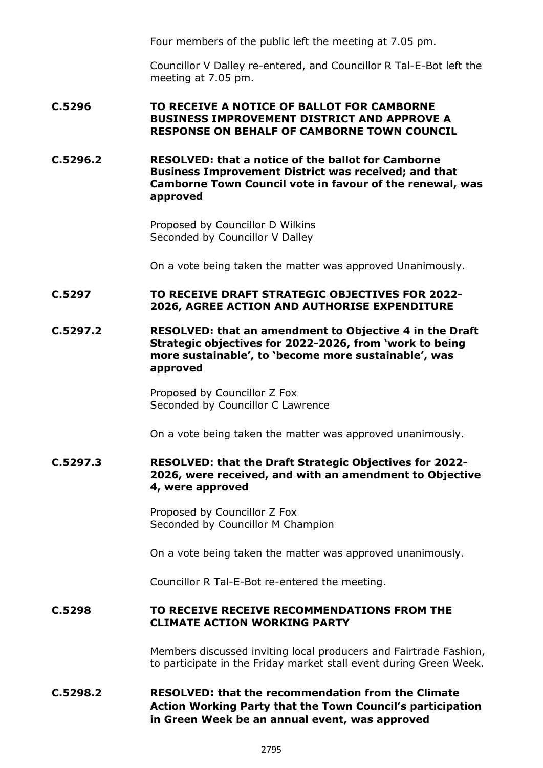Four members of the public left the meeting at 7.05 pm.

Councillor V Dalley re-entered, and Councillor R Tal-E-Bot left the meeting at 7.05 pm.

## **C.5296 TO RECEIVE A NOTICE OF BALLOT FOR CAMBORNE BUSINESS IMPROVEMENT DISTRICT AND APPROVE A RESPONSE ON BEHALF OF CAMBORNE TOWN COUNCIL**

**C.5296.2 RESOLVED: that a notice of the ballot for Camborne Business Improvement District was received; and that Camborne Town Council vote in favour of the renewal, was approved**

> Proposed by Councillor D Wilkins Seconded by Councillor V Dalley

On a vote being taken the matter was approved Unanimously.

## **C.5297 TO RECEIVE DRAFT STRATEGIC OBJECTIVES FOR 2022- 2026, AGREE ACTION AND AUTHORISE EXPENDITURE**

**C.5297.2 RESOLVED: that an amendment to Objective 4 in the Draft Strategic objectives for 2022-2026, from 'work to being more sustainable', to 'become more sustainable', was approved**

> Proposed by Councillor Z Fox Seconded by Councillor C Lawrence

On a vote being taken the matter was approved unanimously.

**C.5297.3 RESOLVED: that the Draft Strategic Objectives for 2022- 2026, were received, and with an amendment to Objective 4, were approved**

> Proposed by Councillor Z Fox Seconded by Councillor M Champion

On a vote being taken the matter was approved unanimously.

Councillor R Tal-E-Bot re-entered the meeting.

#### **C.5298 TO RECEIVE RECEIVE RECOMMENDATIONS FROM THE CLIMATE ACTION WORKING PARTY**

Members discussed inviting local producers and Fairtrade Fashion, to participate in the Friday market stall event during Green Week.

# **C.5298.2 RESOLVED: that the recommendation from the Climate Action Working Party that the Town Council's participation in Green Week be an annual event, was approved**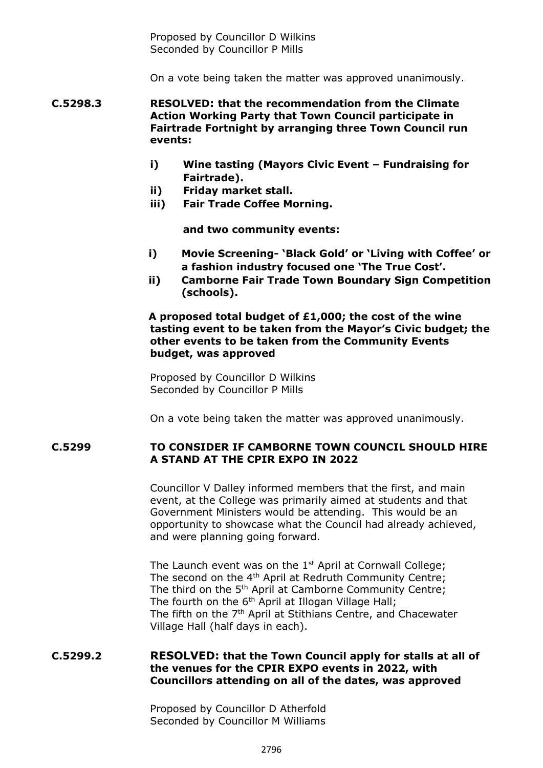Proposed by Councillor D Wilkins Seconded by Councillor P Mills

On a vote being taken the matter was approved unanimously.

**C.5298.3 RESOLVED: that the recommendation from the Climate Action Working Party that Town Council participate in Fairtrade Fortnight by arranging three Town Council run events:** 

- **i) Wine tasting (Mayors Civic Event – Fundraising for Fairtrade).**
- **ii) Friday market stall.**
- **iii) Fair Trade Coffee Morning.**

**and two community events:**

- **i) Movie Screening- 'Black Gold' or 'Living with Coffee' or a fashion industry focused one 'The True Cost'.**
- **ii) Camborne Fair Trade Town Boundary Sign Competition (schools).**

**A proposed total budget of £1,000; the cost of the wine tasting event to be taken from the Mayor's Civic budget; the other events to be taken from the Community Events budget, was approved**

Proposed by Councillor D Wilkins Seconded by Councillor P Mills

On a vote being taken the matter was approved unanimously.

## **C.5299 TO CONSIDER IF CAMBORNE TOWN COUNCIL SHOULD HIRE A STAND AT THE CPIR EXPO IN 2022**

Councillor V Dalley informed members that the first, and main event, at the College was primarily aimed at students and that Government Ministers would be attending. This would be an opportunity to showcase what the Council had already achieved, and were planning going forward.

The Launch event was on the 1<sup>st</sup> April at Cornwall College; The second on the 4<sup>th</sup> April at Redruth Community Centre; The third on the 5<sup>th</sup> April at Camborne Community Centre; The fourth on the 6<sup>th</sup> April at Illogan Village Hall; The fifth on the 7th April at Stithians Centre, and Chacewater Village Hall (half days in each).

# **C.5299.2 RESOLVED: that the Town Council apply for stalls at all of the venues for the CPIR EXPO events in 2022, with Councillors attending on all of the dates, was approved**

Proposed by Councillor D Atherfold Seconded by Councillor M Williams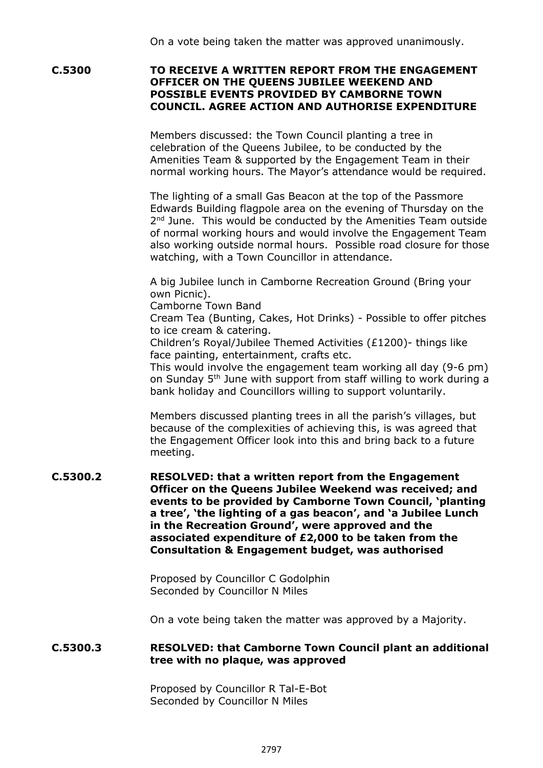**C.5300 TO RECEIVE A WRITTEN REPORT FROM THE ENGAGEMENT OFFICER ON THE QUEENS JUBILEE WEEKEND AND POSSIBLE EVENTS PROVIDED BY CAMBORNE TOWN COUNCIL. AGREE ACTION AND AUTHORISE EXPENDITURE**

> Members discussed: the Town Council planting a tree in celebration of the Queens Jubilee, to be conducted by the Amenities Team & supported by the Engagement Team in their normal working hours. The Mayor's attendance would be required.

The lighting of a small Gas Beacon at the top of the Passmore Edwards Building flagpole area on the evening of Thursday on the 2<sup>nd</sup> June. This would be conducted by the Amenities Team outside of normal working hours and would involve the Engagement Team also working outside normal hours. Possible road closure for those watching, with a Town Councillor in attendance.

A big Jubilee lunch in Camborne Recreation Ground (Bring your own Picnic).

Camborne Town Band

Cream Tea (Bunting, Cakes, Hot Drinks) - Possible to offer pitches to ice cream & catering.

Children's Royal/Jubilee Themed Activities (£1200)- things like face painting, entertainment, crafts etc.

This would involve the engagement team working all day (9-6 pm) on Sunday 5<sup>th</sup> June with support from staff willing to work during a bank holiday and Councillors willing to support voluntarily.

Members discussed planting trees in all the parish's villages, but because of the complexities of achieving this, is was agreed that the Engagement Officer look into this and bring back to a future meeting.

**C.5300.2 RESOLVED: that a written report from the Engagement Officer on the Queens Jubilee Weekend was received; and events to be provided by Camborne Town Council, 'planting a tree', 'the lighting of a gas beacon', and 'a Jubilee Lunch in the Recreation Ground', were approved and the associated expenditure of £2,000 to be taken from the Consultation & Engagement budget, was authorised**

> Proposed by Councillor C Godolphin Seconded by Councillor N Miles

On a vote being taken the matter was approved by a Majority.

# **C.5300.3 RESOLVED: that Camborne Town Council plant an additional tree with no plaque, was approved**

Proposed by Councillor R Tal-E-Bot Seconded by Councillor N Miles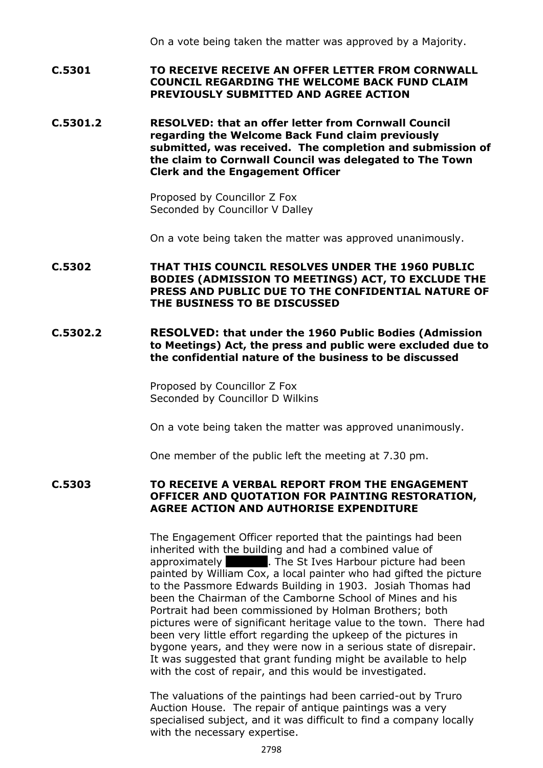On a vote being taken the matter was approved by a Majority.

- **C.5301 TO RECEIVE RECEIVE AN OFFER LETTER FROM CORNWALL COUNCIL REGARDING THE WELCOME BACK FUND CLAIM PREVIOUSLY SUBMITTED AND AGREE ACTION**
- **C.5301.2 RESOLVED: that an offer letter from Cornwall Council regarding the Welcome Back Fund claim previously submitted, was received. The completion and submission of the claim to Cornwall Council was delegated to The Town Clerk and the Engagement Officer**

Proposed by Councillor Z Fox Seconded by Councillor V Dalley

On a vote being taken the matter was approved unanimously.

- **C.5302 THAT THIS COUNCIL RESOLVES UNDER THE 1960 PUBLIC BODIES (ADMISSION TO MEETINGS) ACT, TO EXCLUDE THE PRESS AND PUBLIC DUE TO THE CONFIDENTIAL NATURE OF THE BUSINESS TO BE DISCUSSED**
- **C.5302.2 RESOLVED: that under the 1960 Public Bodies (Admission to Meetings) Act, the press and public were excluded due to the confidential nature of the business to be discussed**

Proposed by Councillor Z Fox Seconded by Councillor D Wilkins

On a vote being taken the matter was approved unanimously.

One member of the public left the meeting at 7.30 pm.

**C.5303 TO RECEIVE A VERBAL REPORT FROM THE ENGAGEMENT OFFICER AND QUOTATION FOR PAINTING RESTORATION, AGREE ACTION AND AUTHORISE EXPENDITURE**

> The Engagement Officer reported that the paintings had been inherited with the building and had a combined value of approximately **1200. The St Ives Harbour picture had been** painted by William Cox, a local painter who had gifted the picture to the Passmore Edwards Building in 1903. Josiah Thomas had been the Chairman of the Camborne School of Mines and his Portrait had been commissioned by Holman Brothers; both pictures were of significant heritage value to the town. There had been very little effort regarding the upkeep of the pictures in bygone years, and they were now in a serious state of disrepair. It was suggested that grant funding might be available to help with the cost of repair, and this would be investigated.

The valuations of the paintings had been carried-out by Truro Auction House. The repair of antique paintings was a very specialised subject, and it was difficult to find a company locally with the necessary expertise.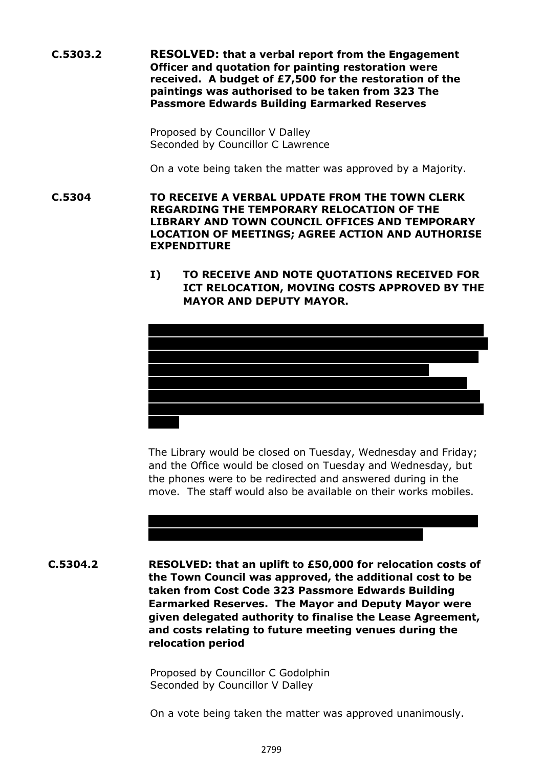**C.5303.2 RESOLVED: that a verbal report from the Engagement Officer and quotation for painting restoration were received. A budget of £7,500 for the restoration of the paintings was authorised to be taken from 323 The Passmore Edwards Building Earmarked Reserves**

> Proposed by Councillor V Dalley Seconded by Councillor C Lawrence

On a vote being taken the matter was approved by a Majority.

**C.5304 TO RECEIVE A VERBAL UPDATE FROM THE TOWN CLERK REGARDING THE TEMPORARY RELOCATION OF THE LIBRARY AND TOWN COUNCIL OFFICES AND TEMPORARY LOCATION OF MEETINGS; AGREE ACTION AND AUTHORISE EXPENDITURE**

> **I) TO RECEIVE AND NOTE QUOTATIONS RECEIVED FOR ICT RELOCATION, MOVING COSTS APPROVED BY THE MAYOR AND DEPUTY MAYOR.**



The Library would be closed on Tuesday, Wednesday and Friday; and the Office would be closed on Tuesday and Wednesday, but the phones were to be redirected and answered during in the move. The staff would also be available on their works mobiles.

# Councillor Atherfold suggested that the Town Council should look

 **C.5304.2 RESOLVED: that an uplift to £50,000 for relocation costs of the Town Council was approved, the additional cost to be taken from Cost Code 323 Passmore Edwards Building Earmarked Reserves. The Mayor and Deputy Mayor were given delegated authority to finalise the Lease Agreement, and costs relating to future meeting venues during the relocation period**

> Proposed by Councillor C Godolphin Seconded by Councillor V Dalley

On a vote being taken the matter was approved unanimously.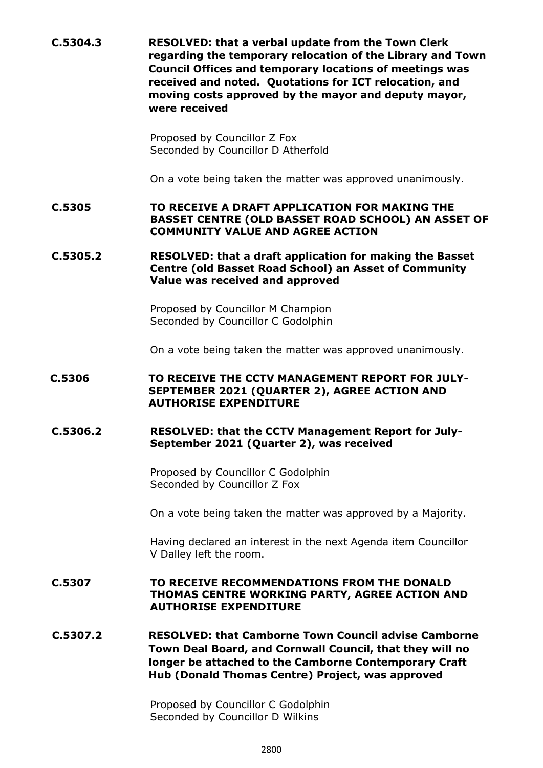**C.5304.3 RESOLVED: that a verbal update from the Town Clerk regarding the temporary relocation of the Library and Town Council Offices and temporary locations of meetings was received and noted. Quotations for ICT relocation, and moving costs approved by the mayor and deputy mayor, were received**

> Proposed by Councillor Z Fox Seconded by Councillor D Atherfold

On a vote being taken the matter was approved unanimously.

**C.5305 TO RECEIVE A DRAFT APPLICATION FOR MAKING THE BASSET CENTRE (OLD BASSET ROAD SCHOOL) AN ASSET OF COMMUNITY VALUE AND AGREE ACTION**

**C.5305.2 RESOLVED: that a draft application for making the Basset Centre (old Basset Road School) an Asset of Community Value was received and approved**

> Proposed by Councillor M Champion Seconded by Councillor C Godolphin

On a vote being taken the matter was approved unanimously.

# **C.5306 TO RECEIVE THE CCTV MANAGEMENT REPORT FOR JULY-SEPTEMBER 2021 (QUARTER 2), AGREE ACTION AND AUTHORISE EXPENDITURE**

# **C.5306.2 RESOLVED: that the CCTV Management Report for July-September 2021 (Quarter 2), was received**

Proposed by Councillor C Godolphin Seconded by Councillor Z Fox

On a vote being taken the matter was approved by a Majority.

Having declared an interest in the next Agenda item Councillor V Dalley left the room.

## **C.5307 TO RECEIVE RECOMMENDATIONS FROM THE DONALD THOMAS CENTRE WORKING PARTY, AGREE ACTION AND AUTHORISE EXPENDITURE**

 **C.5307.2 RESOLVED: that Camborne Town Council advise Camborne Town Deal Board, and Cornwall Council, that they will no longer be attached to the Camborne Contemporary Craft Hub (Donald Thomas Centre) Project, was approved**

> Proposed by Councillor C Godolphin Seconded by Councillor D Wilkins